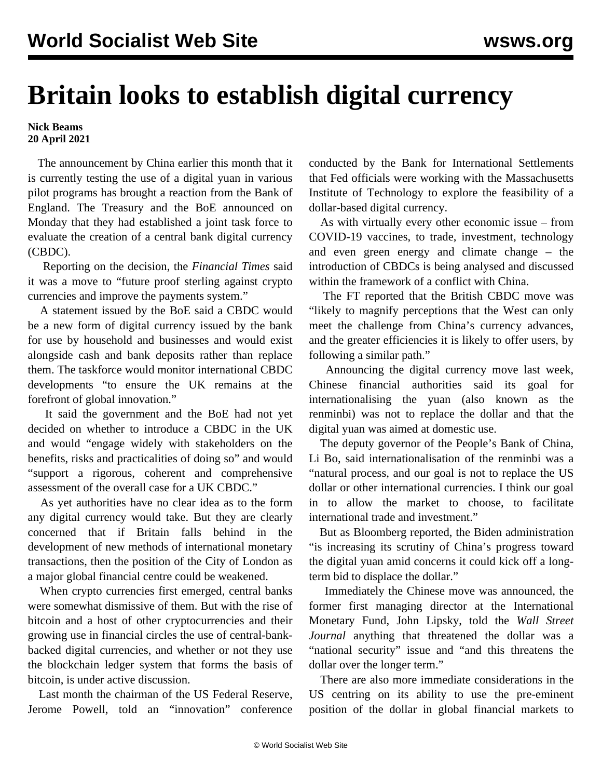## **Britain looks to establish digital currency**

**Nick Beams 20 April 2021**

 The announcement by China earlier this month that it is currently testing the use of a digital yuan in various pilot programs has brought a reaction from the Bank of England. The Treasury and the BoE announced on Monday that they had established a joint task force to evaluate the creation of a central bank digital currency (CBDC).

 Reporting on the decision, the *Financial Times* said it was a move to "future proof sterling against crypto currencies and improve the payments system."

 A statement issued by the BoE said a CBDC would be a new form of digital currency issued by the bank for use by household and businesses and would exist alongside cash and bank deposits rather than replace them. The taskforce would monitor international CBDC developments "to ensure the UK remains at the forefront of global innovation."

 It said the government and the BoE had not yet decided on whether to introduce a CBDC in the UK and would "engage widely with stakeholders on the benefits, risks and practicalities of doing so" and would "support a rigorous, coherent and comprehensive assessment of the overall case for a UK CBDC."

 As yet authorities have no clear idea as to the form any digital currency would take. But they are clearly concerned that if Britain falls behind in the development of new methods of international monetary transactions, then the position of the City of London as a major global financial centre could be weakened.

 When crypto currencies first emerged, central banks were somewhat dismissive of them. But with the rise of bitcoin and a host of other cryptocurrencies and their growing use in financial circles the use of central-bankbacked digital currencies, and whether or not they use the blockchain ledger system that forms the basis of bitcoin, is under active discussion.

 Last month the chairman of the US Federal Reserve, Jerome Powell, told an "innovation" conference conducted by the Bank for International Settlements that Fed officials were working with the Massachusetts Institute of Technology to explore the feasibility of a dollar-based digital currency.

 As with virtually every other economic issue – from COVID-19 vaccines, to trade, investment, technology and even green energy and climate change – the introduction of CBDCs is being analysed and discussed within the framework of a conflict with China.

 The FT reported that the British CBDC move was "likely to magnify perceptions that the West can only meet the challenge from China's currency advances, and the greater efficiencies it is likely to offer users, by following a similar path."

 Announcing the digital currency move last week, Chinese financial authorities said its goal for internationalising the yuan (also known as the renminbi) was not to replace the dollar and that the digital yuan was aimed at domestic use.

 The deputy governor of the People's Bank of China, Li Bo, said internationalisation of the renminbi was a "natural process, and our goal is not to replace the US dollar or other international currencies. I think our goal in to allow the market to choose, to facilitate international trade and investment."

 But as Bloomberg reported, the Biden administration "is increasing its scrutiny of China's progress toward the digital yuan amid concerns it could kick off a longterm bid to displace the dollar."

 Immediately the Chinese move was announced, the former first managing director at the International Monetary Fund, John Lipsky, told the *Wall Street Journal* anything that threatened the dollar was a "national security" issue and "and this threatens the dollar over the longer term."

 There are also more immediate considerations in the US centring on its ability to use the pre-eminent position of the dollar in global financial markets to